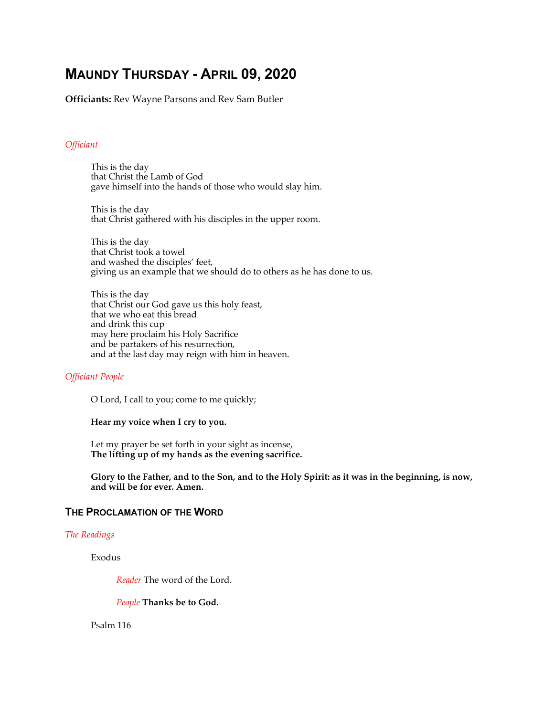# **MAUNDY THURSDAY - APRIL 09, 2020**

**Officiants:** Rev Wayne Parsons and Rev Sam Butler

#### *Officiant*

This is the day that Christ the Lamb of God gave himself into the hands of those who would slay him.

This is the day that Christ gathered with his disciples in the upper room.

This is the day that Christ took a towel and washed the disciples' feet, giving us an example that we should do to others as he has done to us.

This is the day that Christ our God gave us this holy feast, that we who eat this bread and drink this cup may here proclaim his Holy Sacrifice and be partakers of his resurrection, and at the last day may reign with him in heaven.

#### *Officiant People*

O Lord, I call to you; come to me quickly;

#### **Hear my voice when I cry to you.**

Let my prayer be set forth in your sight as incense, **The lifting up of my hands as the evening sacrifice.** 

**Glory to the Father, and to the Son, and to the Holy Spirit: as it was in the beginning, is now, and will be for ever. Amen.** 

#### **THE PROCLAMATION OF THE WORD**

#### *The Readings*

Exodus

*Reader* The word of the Lord.

*People* **Thanks be to God.**

Psalm 116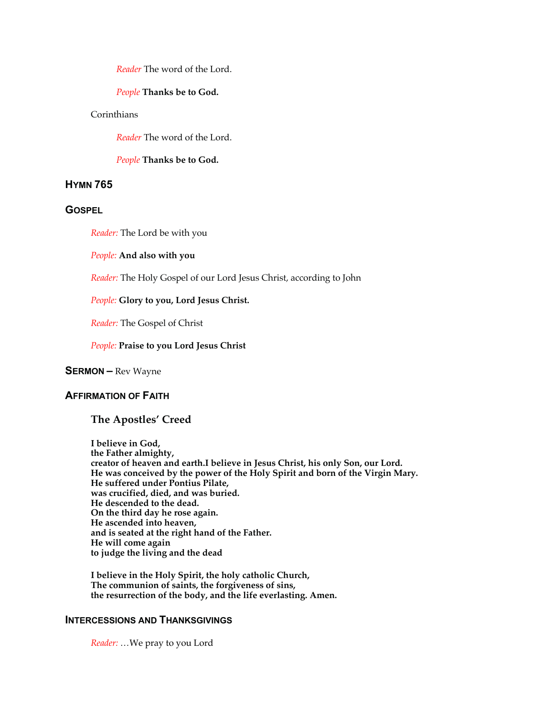*Reader* The word of the Lord.

#### *People* **Thanks be to God.**

# Corinthians

*Reader* The word of the Lord.

*People* **Thanks be to God.**

# **HYMN 765**

# **GOSPEL**

*Reader:* The Lord be with you

*People:* **And also with you**

*Reader:* The Holy Gospel of our Lord Jesus Christ, according to John

*People:* **Glory to you, Lord Jesus Christ.** 

*Reader:* The Gospel of Christ

#### *People:* **Praise to you Lord Jesus Christ**

#### **SERMON –** Rev Wayne

# **AFFIRMATION OF FAITH**

# **The Apostles' Creed**

**I believe in God, the Father almighty, creator of heaven and earth.I believe in Jesus Christ, his only Son, our Lord. He was conceived by the power of the Holy Spirit and born of the Virgin Mary. He suffered under Pontius Pilate, was crucified, died, and was buried. He descended to the dead. On the third day he rose again. He ascended into heaven, and is seated at the right hand of the Father. He will come again to judge the living and the dead**

**I believe in the Holy Spirit, the holy catholic Church, The communion of saints, the forgiveness of sins, the resurrection of the body, and the life everlasting. Amen.** 

# **INTERCESSIONS AND THANKSGIVINGS**

*Reader: …*We pray to you Lord